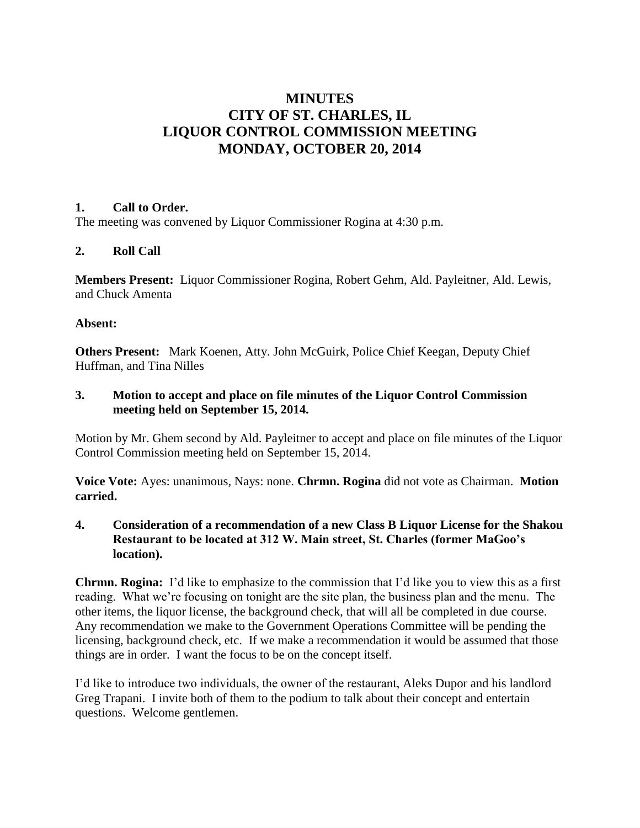# **MINUTES CITY OF ST. CHARLES, IL LIQUOR CONTROL COMMISSION MEETING MONDAY, OCTOBER 20, 2014**

#### **1. Call to Order.**

The meeting was convened by Liquor Commissioner Rogina at 4:30 p.m.

## **2. Roll Call**

**Members Present:** Liquor Commissioner Rogina, Robert Gehm, Ald. Payleitner, Ald. Lewis, and Chuck Amenta

#### **Absent:**

**Others Present:** Mark Koenen, Atty. John McGuirk, Police Chief Keegan, Deputy Chief Huffman, and Tina Nilles

## **3. Motion to accept and place on file minutes of the Liquor Control Commission meeting held on September 15, 2014.**

Motion by Mr. Ghem second by Ald. Payleitner to accept and place on file minutes of the Liquor Control Commission meeting held on September 15, 2014.

**Voice Vote:** Ayes: unanimous, Nays: none. **Chrmn. Rogina** did not vote as Chairman. **Motion carried.**

## **4. Consideration of a recommendation of a new Class B Liquor License for the Shakou Restaurant to be located at 312 W. Main street, St. Charles (former MaGoo's location).**

**Chrmn. Rogina:** I'd like to emphasize to the commission that I'd like you to view this as a first reading. What we're focusing on tonight are the site plan, the business plan and the menu. The other items, the liquor license, the background check, that will all be completed in due course. Any recommendation we make to the Government Operations Committee will be pending the licensing, background check, etc. If we make a recommendation it would be assumed that those things are in order. I want the focus to be on the concept itself.

I'd like to introduce two individuals, the owner of the restaurant, Aleks Dupor and his landlord Greg Trapani. I invite both of them to the podium to talk about their concept and entertain questions. Welcome gentlemen.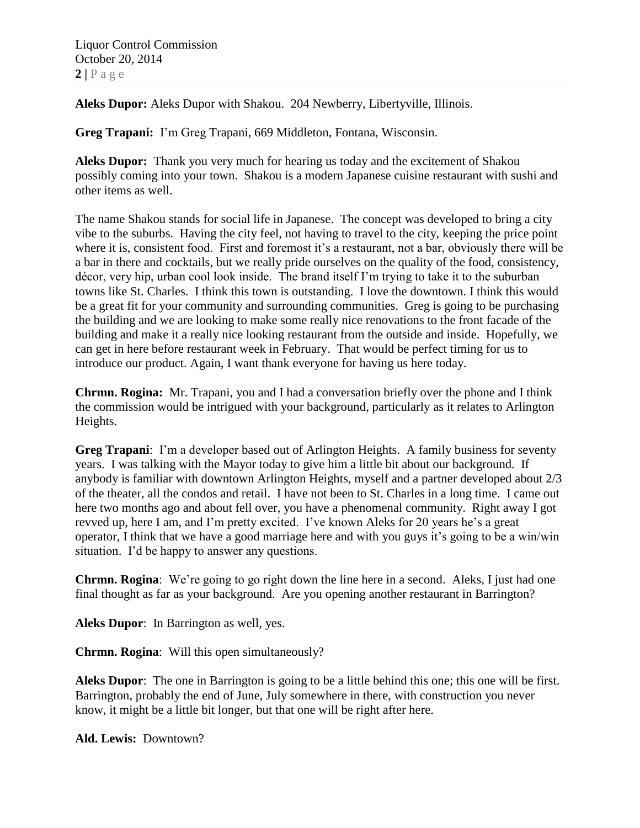**Aleks Dupor:** Aleks Dupor with Shakou. 204 Newberry, Libertyville, Illinois.

**Greg Trapani:** I'm Greg Trapani, 669 Middleton, Fontana, Wisconsin.

**Aleks Dupor:** Thank you very much for hearing us today and the excitement of Shakou possibly coming into your town. Shakou is a modern Japanese cuisine restaurant with sushi and other items as well.

The name Shakou stands for social life in Japanese. The concept was developed to bring a city vibe to the suburbs. Having the city feel, not having to travel to the city, keeping the price point where it is, consistent food. First and foremost it's a restaurant, not a bar, obviously there will be a bar in there and cocktails, but we really pride ourselves on the quality of the food, consistency, décor, very hip, urban cool look inside. The brand itself I'm trying to take it to the suburban towns like St. Charles. I think this town is outstanding. I love the downtown. I think this would be a great fit for your community and surrounding communities. Greg is going to be purchasing the building and we are looking to make some really nice renovations to the front facade of the building and make it a really nice looking restaurant from the outside and inside. Hopefully, we can get in here before restaurant week in February. That would be perfect timing for us to introduce our product. Again, I want thank everyone for having us here today.

**Chrmn. Rogina:** Mr. Trapani, you and I had a conversation briefly over the phone and I think the commission would be intrigued with your background, particularly as it relates to Arlington Heights.

**Greg Trapani**: I'm a developer based out of Arlington Heights. A family business for seventy years. I was talking with the Mayor today to give him a little bit about our background. If anybody is familiar with downtown Arlington Heights, myself and a partner developed about 2/3 of the theater, all the condos and retail. I have not been to St. Charles in a long time. I came out here two months ago and about fell over, you have a phenomenal community. Right away I got revved up, here I am, and I'm pretty excited. I've known Aleks for 20 years he's a great operator, I think that we have a good marriage here and with you guys it's going to be a win/win situation. I'd be happy to answer any questions.

**Chrmn. Rogina**: We're going to go right down the line here in a second. Aleks, I just had one final thought as far as your background. Are you opening another restaurant in Barrington?

**Aleks Dupor**: In Barrington as well, yes.

**Chrmn. Rogina**: Will this open simultaneously?

**Aleks Dupor**: The one in Barrington is going to be a little behind this one; this one will be first. Barrington, probably the end of June, July somewhere in there, with construction you never know, it might be a little bit longer, but that one will be right after here.

**Ald. Lewis:** Downtown?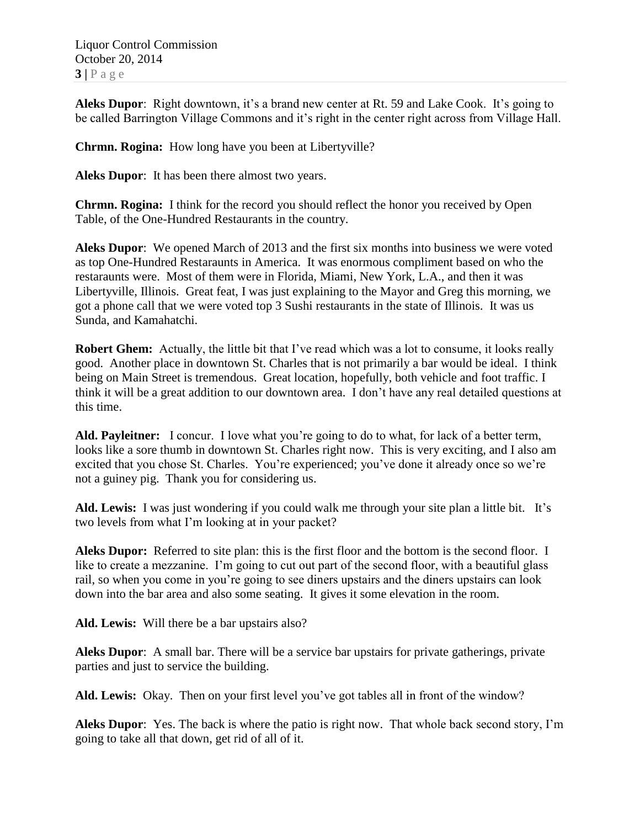Liquor Control Commission October 20, 2014  $3|P \text{ age}$ 

**Aleks Dupor**: Right downtown, it's a brand new center at Rt. 59 and Lake Cook. It's going to be called Barrington Village Commons and it's right in the center right across from Village Hall.

**Chrmn. Rogina:** How long have you been at Libertyville?

**Aleks Dupor**: It has been there almost two years.

**Chrmn. Rogina:** I think for the record you should reflect the honor you received by Open Table, of the One-Hundred Restaurants in the country.

**Aleks Dupor**: We opened March of 2013 and the first six months into business we were voted as top One-Hundred Restaraunts in America. It was enormous compliment based on who the restaraunts were. Most of them were in Florida, Miami, New York, L.A., and then it was Libertyville, Illinois. Great feat, I was just explaining to the Mayor and Greg this morning, we got a phone call that we were voted top 3 Sushi restaurants in the state of Illinois. It was us Sunda, and Kamahatchi.

**Robert Ghem:** Actually, the little bit that I've read which was a lot to consume, it looks really good. Another place in downtown St. Charles that is not primarily a bar would be ideal. I think being on Main Street is tremendous. Great location, hopefully, both vehicle and foot traffic. I think it will be a great addition to our downtown area. I don't have any real detailed questions at this time.

Ald. Payleitner: I concur. I love what you're going to do to what, for lack of a better term, looks like a sore thumb in downtown St. Charles right now. This is very exciting, and I also am excited that you chose St. Charles. You're experienced; you've done it already once so we're not a guiney pig. Thank you for considering us.

**Ald. Lewis:** I was just wondering if you could walk me through your site plan a little bit. It's two levels from what I'm looking at in your packet?

**Aleks Dupor:** Referred to site plan: this is the first floor and the bottom is the second floor. I like to create a mezzanine. I'm going to cut out part of the second floor, with a beautiful glass rail, so when you come in you're going to see diners upstairs and the diners upstairs can look down into the bar area and also some seating. It gives it some elevation in the room.

**Ald. Lewis:** Will there be a bar upstairs also?

**Aleks Dupor**: A small bar. There will be a service bar upstairs for private gatherings, private parties and just to service the building.

**Ald. Lewis:** Okay. Then on your first level you've got tables all in front of the window?

**Aleks Dupor**: Yes. The back is where the patio is right now. That whole back second story, I'm going to take all that down, get rid of all of it.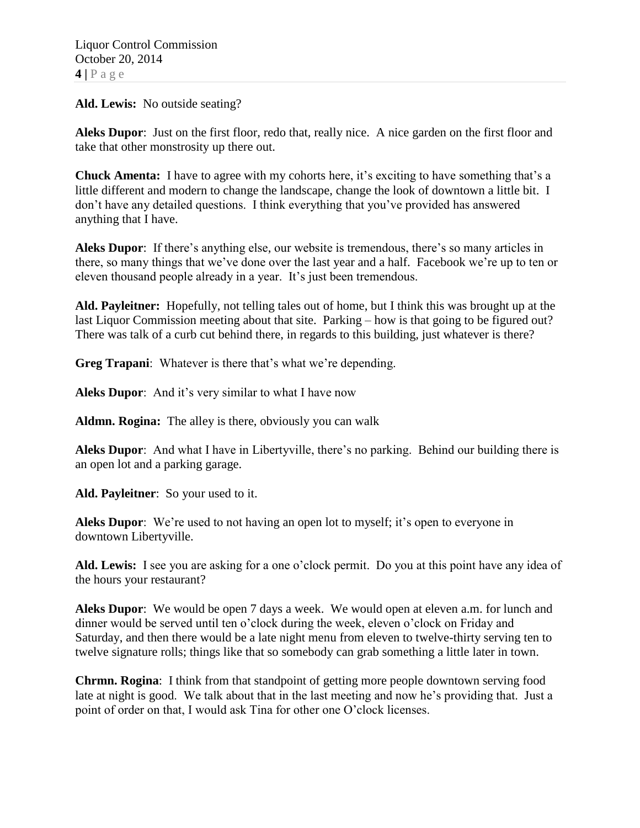**Ald. Lewis:** No outside seating?

**Aleks Dupor**: Just on the first floor, redo that, really nice. A nice garden on the first floor and take that other monstrosity up there out.

**Chuck Amenta:** I have to agree with my cohorts here, it's exciting to have something that's a little different and modern to change the landscape, change the look of downtown a little bit. I don't have any detailed questions. I think everything that you've provided has answered anything that I have.

**Aleks Dupor**: If there's anything else, our website is tremendous, there's so many articles in there, so many things that we've done over the last year and a half. Facebook we're up to ten or eleven thousand people already in a year. It's just been tremendous.

**Ald. Payleitner:** Hopefully, not telling tales out of home, but I think this was brought up at the last Liquor Commission meeting about that site. Parking – how is that going to be figured out? There was talk of a curb cut behind there, in regards to this building, just whatever is there?

**Greg Trapani**: Whatever is there that's what we're depending.

**Aleks Dupor**: And it's very similar to what I have now

**Aldmn. Rogina:** The alley is there, obviously you can walk

**Aleks Dupor**: And what I have in Libertyville, there's no parking. Behind our building there is an open lot and a parking garage.

**Ald. Payleitner**: So your used to it.

**Aleks Dupor**: We're used to not having an open lot to myself; it's open to everyone in downtown Libertyville.

**Ald. Lewis:** I see you are asking for a one o'clock permit. Do you at this point have any idea of the hours your restaurant?

**Aleks Dupor**: We would be open 7 days a week. We would open at eleven a.m. for lunch and dinner would be served until ten o'clock during the week, eleven o'clock on Friday and Saturday, and then there would be a late night menu from eleven to twelve-thirty serving ten to twelve signature rolls; things like that so somebody can grab something a little later in town.

**Chrmn. Rogina**: I think from that standpoint of getting more people downtown serving food late at night is good. We talk about that in the last meeting and now he's providing that. Just a point of order on that, I would ask Tina for other one O'clock licenses.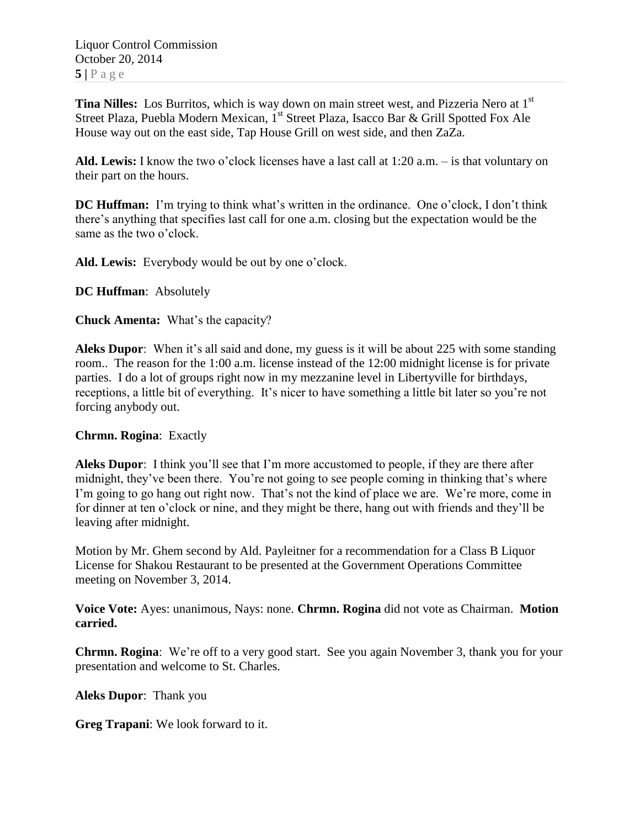Liquor Control Commission October 20, 2014  $5|$   $P$  a g e

**Tina Nilles:** Los Burritos, which is way down on main street west, and Pizzeria Nero at 1st Street Plaza, Puebla Modern Mexican, 1<sup>st</sup> Street Plaza, Isacco Bar & Grill Spotted Fox Ale House way out on the east side, Tap House Grill on west side, and then ZaZa.

**Ald. Lewis:** I know the two o'clock licenses have a last call at 1:20 a.m. – is that voluntary on their part on the hours.

**DC Huffman:** I'm trying to think what's written in the ordinance. One o'clock, I don't think there's anything that specifies last call for one a.m. closing but the expectation would be the same as the two o'clock.

**Ald. Lewis:** Everybody would be out by one o'clock.

**DC Huffman**: Absolutely

**Chuck Amenta:** What's the capacity?

**Aleks Dupor**: When it's all said and done, my guess is it will be about 225 with some standing room.. The reason for the 1:00 a.m. license instead of the 12:00 midnight license is for private parties. I do a lot of groups right now in my mezzanine level in Libertyville for birthdays, receptions, a little bit of everything. It's nicer to have something a little bit later so you're not forcing anybody out.

**Chrmn. Rogina**: Exactly

**Aleks Dupor**: I think you'll see that I'm more accustomed to people, if they are there after midnight, they've been there. You're not going to see people coming in thinking that's where I'm going to go hang out right now. That's not the kind of place we are. We're more, come in for dinner at ten o'clock or nine, and they might be there, hang out with friends and they'll be leaving after midnight.

Motion by Mr. Ghem second by Ald. Payleitner for a recommendation for a Class B Liquor License for Shakou Restaurant to be presented at the Government Operations Committee meeting on November 3, 2014.

**Voice Vote:** Ayes: unanimous, Nays: none. **Chrmn. Rogina** did not vote as Chairman. **Motion carried.**

**Chrmn. Rogina**: We're off to a very good start. See you again November 3, thank you for your presentation and welcome to St. Charles.

**Aleks Dupor**: Thank you

**Greg Trapani**: We look forward to it.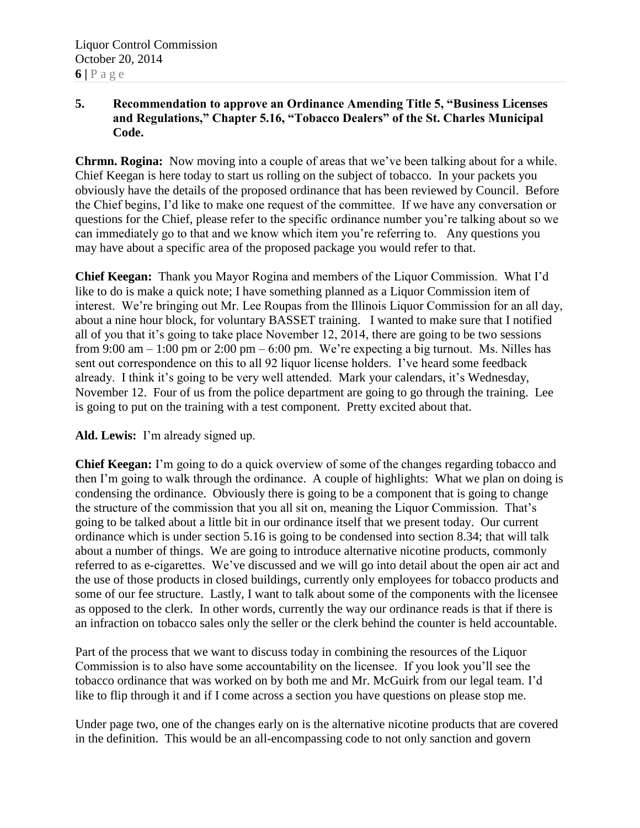## **5. Recommendation to approve an Ordinance Amending Title 5, "Business Licenses and Regulations," Chapter 5.16, "Tobacco Dealers" of the St. Charles Municipal Code.**

**Chrmn. Rogina:** Now moving into a couple of areas that we've been talking about for a while. Chief Keegan is here today to start us rolling on the subject of tobacco. In your packets you obviously have the details of the proposed ordinance that has been reviewed by Council. Before the Chief begins, I'd like to make one request of the committee. If we have any conversation or questions for the Chief, please refer to the specific ordinance number you're talking about so we can immediately go to that and we know which item you're referring to. Any questions you may have about a specific area of the proposed package you would refer to that.

**Chief Keegan:** Thank you Mayor Rogina and members of the Liquor Commission. What I'd like to do is make a quick note; I have something planned as a Liquor Commission item of interest. We're bringing out Mr. Lee Roupas from the Illinois Liquor Commission for an all day, about a nine hour block, for voluntary BASSET training. I wanted to make sure that I notified all of you that it's going to take place November 12, 2014, there are going to be two sessions from 9:00 am  $-1:00$  pm or 2:00 pm  $-6:00$  pm. We're expecting a big turnout. Ms. Nilles has sent out correspondence on this to all 92 liquor license holders. I've heard some feedback already. I think it's going to be very well attended. Mark your calendars, it's Wednesday, November 12. Four of us from the police department are going to go through the training. Lee is going to put on the training with a test component. Pretty excited about that.

# **Ald. Lewis:** I'm already signed up.

**Chief Keegan:** I'm going to do a quick overview of some of the changes regarding tobacco and then I'm going to walk through the ordinance. A couple of highlights: What we plan on doing is condensing the ordinance. Obviously there is going to be a component that is going to change the structure of the commission that you all sit on, meaning the Liquor Commission. That's going to be talked about a little bit in our ordinance itself that we present today. Our current ordinance which is under section 5.16 is going to be condensed into section 8.34; that will talk about a number of things. We are going to introduce alternative nicotine products, commonly referred to as e-cigarettes. We've discussed and we will go into detail about the open air act and the use of those products in closed buildings, currently only employees for tobacco products and some of our fee structure. Lastly, I want to talk about some of the components with the licensee as opposed to the clerk. In other words, currently the way our ordinance reads is that if there is an infraction on tobacco sales only the seller or the clerk behind the counter is held accountable.

Part of the process that we want to discuss today in combining the resources of the Liquor Commission is to also have some accountability on the licensee. If you look you'll see the tobacco ordinance that was worked on by both me and Mr. McGuirk from our legal team. I'd like to flip through it and if I come across a section you have questions on please stop me.

Under page two, one of the changes early on is the alternative nicotine products that are covered in the definition. This would be an all-encompassing code to not only sanction and govern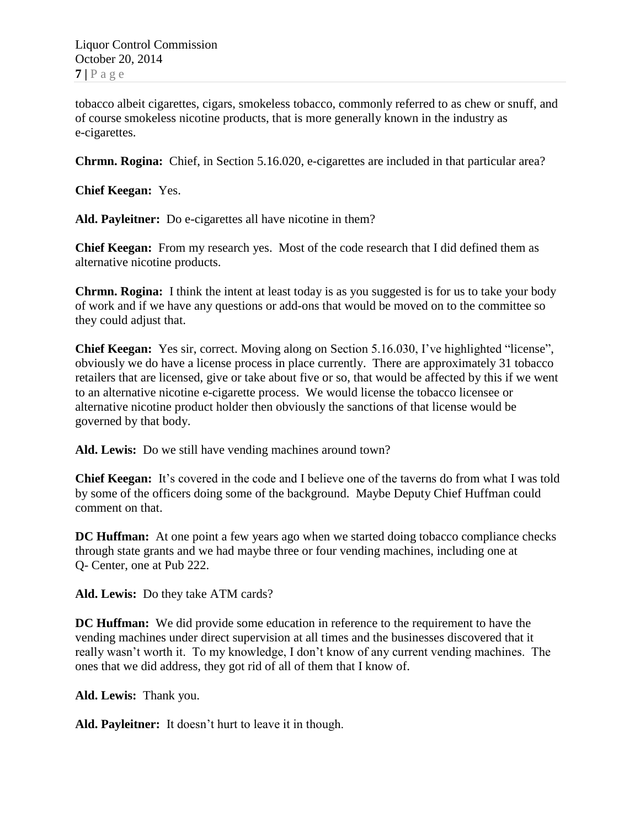tobacco albeit cigarettes, cigars, smokeless tobacco, commonly referred to as chew or snuff, and of course smokeless nicotine products, that is more generally known in the industry as e-cigarettes.

**Chrmn. Rogina:** Chief, in Section 5.16.020, e-cigarettes are included in that particular area?

**Chief Keegan:** Yes.

**Ald. Payleitner:** Do e-cigarettes all have nicotine in them?

**Chief Keegan:** From my research yes. Most of the code research that I did defined them as alternative nicotine products.

**Chrmn. Rogina:** I think the intent at least today is as you suggested is for us to take your body of work and if we have any questions or add-ons that would be moved on to the committee so they could adjust that.

**Chief Keegan:** Yes sir, correct. Moving along on Section 5.16.030, I've highlighted "license", obviously we do have a license process in place currently. There are approximately 31 tobacco retailers that are licensed, give or take about five or so, that would be affected by this if we went to an alternative nicotine e-cigarette process. We would license the tobacco licensee or alternative nicotine product holder then obviously the sanctions of that license would be governed by that body.

**Ald. Lewis:** Do we still have vending machines around town?

**Chief Keegan:** It's covered in the code and I believe one of the taverns do from what I was told by some of the officers doing some of the background. Maybe Deputy Chief Huffman could comment on that.

**DC Huffman:** At one point a few years ago when we started doing tobacco compliance checks through state grants and we had maybe three or four vending machines, including one at Q- Center, one at Pub 222.

**Ald. Lewis:** Do they take ATM cards?

**DC Huffman:** We did provide some education in reference to the requirement to have the vending machines under direct supervision at all times and the businesses discovered that it really wasn't worth it. To my knowledge, I don't know of any current vending machines. The ones that we did address, they got rid of all of them that I know of.

**Ald. Lewis:** Thank you.

**Ald. Payleitner:** It doesn't hurt to leave it in though.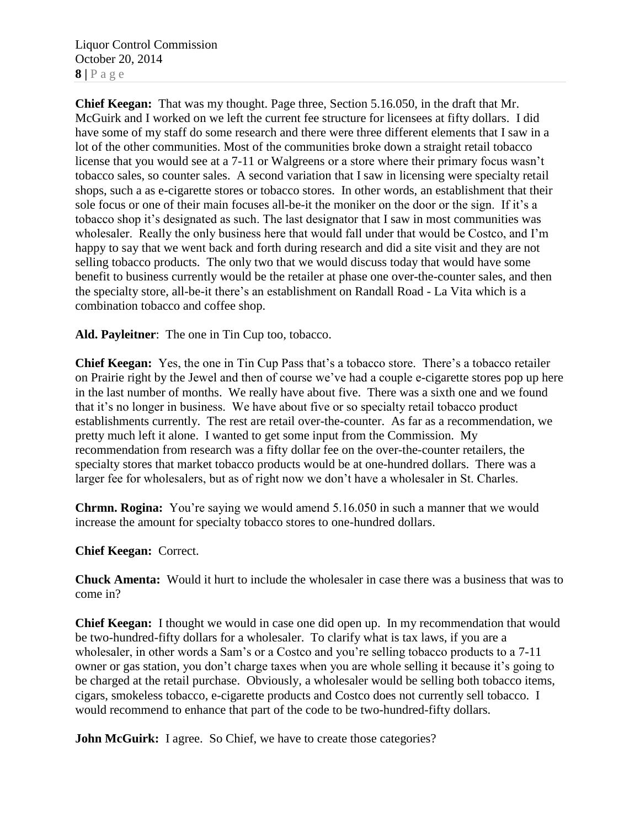Liquor Control Commission October 20, 2014  $8 | P a \geq e$ 

**Chief Keegan:** That was my thought. Page three, Section 5.16.050, in the draft that Mr. McGuirk and I worked on we left the current fee structure for licensees at fifty dollars. I did have some of my staff do some research and there were three different elements that I saw in a lot of the other communities. Most of the communities broke down a straight retail tobacco license that you would see at a 7-11 or Walgreens or a store where their primary focus wasn't tobacco sales, so counter sales. A second variation that I saw in licensing were specialty retail shops, such a as e-cigarette stores or tobacco stores. In other words, an establishment that their sole focus or one of their main focuses all-be-it the moniker on the door or the sign. If it's a tobacco shop it's designated as such. The last designator that I saw in most communities was wholesaler. Really the only business here that would fall under that would be Costco, and I'm happy to say that we went back and forth during research and did a site visit and they are not selling tobacco products. The only two that we would discuss today that would have some benefit to business currently would be the retailer at phase one over-the-counter sales, and then the specialty store, all-be-it there's an establishment on Randall Road - La Vita which is a combination tobacco and coffee shop.

**Ald. Payleitner**: The one in Tin Cup too, tobacco.

**Chief Keegan:** Yes, the one in Tin Cup Pass that's a tobacco store. There's a tobacco retailer on Prairie right by the Jewel and then of course we've had a couple e-cigarette stores pop up here in the last number of months. We really have about five. There was a sixth one and we found that it's no longer in business. We have about five or so specialty retail tobacco product establishments currently. The rest are retail over-the-counter. As far as a recommendation, we pretty much left it alone. I wanted to get some input from the Commission. My recommendation from research was a fifty dollar fee on the over-the-counter retailers, the specialty stores that market tobacco products would be at one-hundred dollars. There was a larger fee for wholesalers, but as of right now we don't have a wholesaler in St. Charles.

**Chrmn. Rogina:** You're saying we would amend 5.16.050 in such a manner that we would increase the amount for specialty tobacco stores to one-hundred dollars.

#### **Chief Keegan:** Correct.

**Chuck Amenta:** Would it hurt to include the wholesaler in case there was a business that was to come in?

**Chief Keegan:** I thought we would in case one did open up. In my recommendation that would be two-hundred-fifty dollars for a wholesaler. To clarify what is tax laws, if you are a wholesaler, in other words a Sam's or a Costco and you're selling tobacco products to a 7-11 owner or gas station, you don't charge taxes when you are whole selling it because it's going to be charged at the retail purchase. Obviously, a wholesaler would be selling both tobacco items, cigars, smokeless tobacco, e-cigarette products and Costco does not currently sell tobacco. I would recommend to enhance that part of the code to be two-hundred-fifty dollars.

**John McGuirk:** I agree. So Chief, we have to create those categories?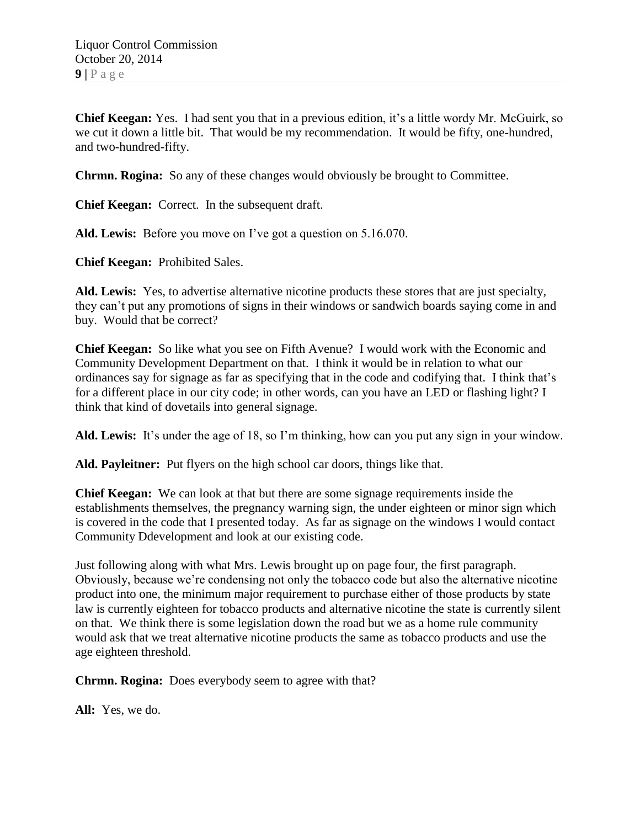**Chief Keegan:** Yes. I had sent you that in a previous edition, it's a little wordy Mr. McGuirk, so we cut it down a little bit. That would be my recommendation. It would be fifty, one-hundred, and two-hundred-fifty.

**Chrmn. Rogina:** So any of these changes would obviously be brought to Committee.

**Chief Keegan:** Correct. In the subsequent draft.

**Ald. Lewis:** Before you move on I've got a question on 5.16.070.

**Chief Keegan:** Prohibited Sales.

**Ald. Lewis:** Yes, to advertise alternative nicotine products these stores that are just specialty, they can't put any promotions of signs in their windows or sandwich boards saying come in and buy. Would that be correct?

**Chief Keegan:** So like what you see on Fifth Avenue? I would work with the Economic and Community Development Department on that. I think it would be in relation to what our ordinances say for signage as far as specifying that in the code and codifying that. I think that's for a different place in our city code; in other words, can you have an LED or flashing light? I think that kind of dovetails into general signage.

**Ald. Lewis:** It's under the age of 18, so I'm thinking, how can you put any sign in your window.

**Ald. Payleitner:** Put flyers on the high school car doors, things like that.

**Chief Keegan:** We can look at that but there are some signage requirements inside the establishments themselves, the pregnancy warning sign, the under eighteen or minor sign which is covered in the code that I presented today. As far as signage on the windows I would contact Community Ddevelopment and look at our existing code.

Just following along with what Mrs. Lewis brought up on page four, the first paragraph. Obviously, because we're condensing not only the tobacco code but also the alternative nicotine product into one, the minimum major requirement to purchase either of those products by state law is currently eighteen for tobacco products and alternative nicotine the state is currently silent on that. We think there is some legislation down the road but we as a home rule community would ask that we treat alternative nicotine products the same as tobacco products and use the age eighteen threshold.

**Chrmn. Rogina:** Does everybody seem to agree with that?

**All:** Yes, we do.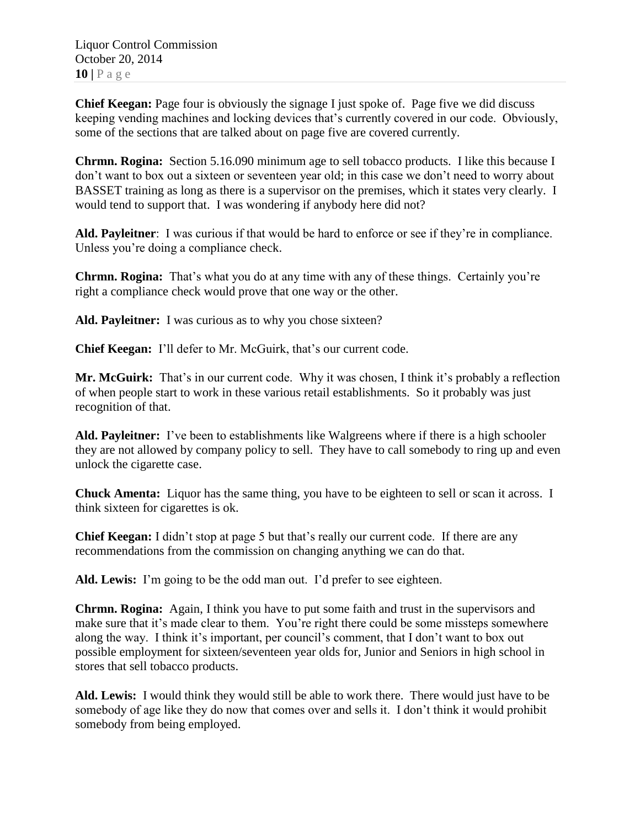**Chief Keegan:** Page four is obviously the signage I just spoke of. Page five we did discuss keeping vending machines and locking devices that's currently covered in our code. Obviously, some of the sections that are talked about on page five are covered currently.

**Chrmn. Rogina:** Section 5.16.090 minimum age to sell tobacco products. I like this because I don't want to box out a sixteen or seventeen year old; in this case we don't need to worry about BASSET training as long as there is a supervisor on the premises, which it states very clearly. I would tend to support that. I was wondering if anybody here did not?

**Ald. Payleitner**: I was curious if that would be hard to enforce or see if they're in compliance. Unless you're doing a compliance check.

**Chrmn. Rogina:** That's what you do at any time with any of these things. Certainly you're right a compliance check would prove that one way or the other.

Ald. Payleitner: I was curious as to why you chose sixteen?

**Chief Keegan:** I'll defer to Mr. McGuirk, that's our current code.

**Mr. McGuirk:** That's in our current code. Why it was chosen, I think it's probably a reflection of when people start to work in these various retail establishments. So it probably was just recognition of that.

**Ald. Payleitner:** I've been to establishments like Walgreens where if there is a high schooler they are not allowed by company policy to sell. They have to call somebody to ring up and even unlock the cigarette case.

**Chuck Amenta:** Liquor has the same thing, you have to be eighteen to sell or scan it across. I think sixteen for cigarettes is ok.

**Chief Keegan:** I didn't stop at page 5 but that's really our current code. If there are any recommendations from the commission on changing anything we can do that.

**Ald. Lewis:** I'm going to be the odd man out. I'd prefer to see eighteen.

**Chrmn. Rogina:** Again, I think you have to put some faith and trust in the supervisors and make sure that it's made clear to them. You're right there could be some missteps somewhere along the way. I think it's important, per council's comment, that I don't want to box out possible employment for sixteen/seventeen year olds for, Junior and Seniors in high school in stores that sell tobacco products.

**Ald. Lewis:** I would think they would still be able to work there. There would just have to be somebody of age like they do now that comes over and sells it. I don't think it would prohibit somebody from being employed.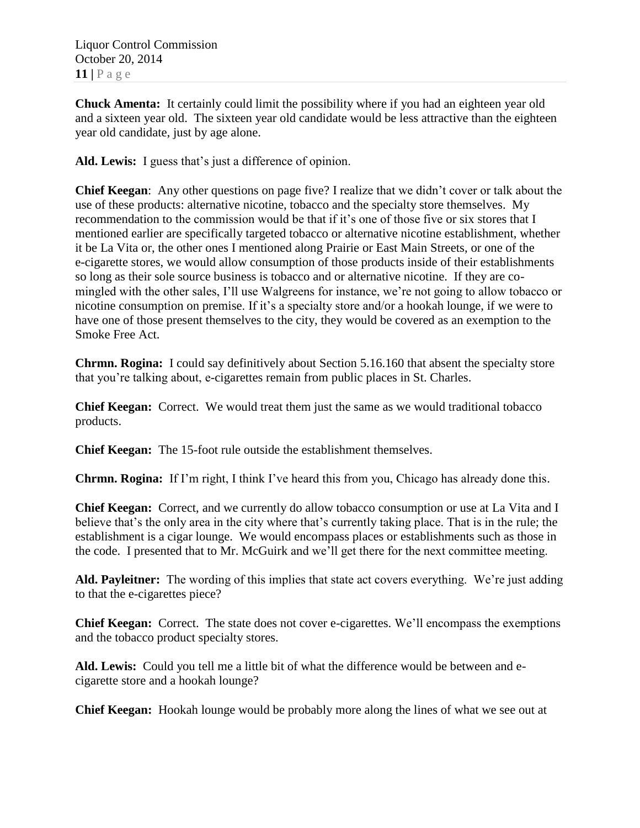Liquor Control Commission October 20, 2014 **11 |** P a g e

**Chuck Amenta:** It certainly could limit the possibility where if you had an eighteen year old and a sixteen year old. The sixteen year old candidate would be less attractive than the eighteen year old candidate, just by age alone.

**Ald. Lewis:** I guess that's just a difference of opinion.

**Chief Keegan**: Any other questions on page five? I realize that we didn't cover or talk about the use of these products: alternative nicotine, tobacco and the specialty store themselves. My recommendation to the commission would be that if it's one of those five or six stores that I mentioned earlier are specifically targeted tobacco or alternative nicotine establishment, whether it be La Vita or, the other ones I mentioned along Prairie or East Main Streets, or one of the e-cigarette stores, we would allow consumption of those products inside of their establishments so long as their sole source business is tobacco and or alternative nicotine. If they are comingled with the other sales, I'll use Walgreens for instance, we're not going to allow tobacco or nicotine consumption on premise. If it's a specialty store and/or a hookah lounge, if we were to have one of those present themselves to the city, they would be covered as an exemption to the Smoke Free Act.

**Chrmn. Rogina:** I could say definitively about Section 5.16.160 that absent the specialty store that you're talking about, e-cigarettes remain from public places in St. Charles.

**Chief Keegan:** Correct. We would treat them just the same as we would traditional tobacco products.

**Chief Keegan:** The 15-foot rule outside the establishment themselves.

**Chrmn. Rogina:** If I'm right, I think I've heard this from you, Chicago has already done this.

**Chief Keegan:** Correct, and we currently do allow tobacco consumption or use at La Vita and I believe that's the only area in the city where that's currently taking place. That is in the rule; the establishment is a cigar lounge. We would encompass places or establishments such as those in the code. I presented that to Mr. McGuirk and we'll get there for the next committee meeting.

**Ald. Payleitner:** The wording of this implies that state act covers everything. We're just adding to that the e-cigarettes piece?

**Chief Keegan:** Correct. The state does not cover e-cigarettes. We'll encompass the exemptions and the tobacco product specialty stores.

**Ald. Lewis:** Could you tell me a little bit of what the difference would be between and ecigarette store and a hookah lounge?

**Chief Keegan:** Hookah lounge would be probably more along the lines of what we see out at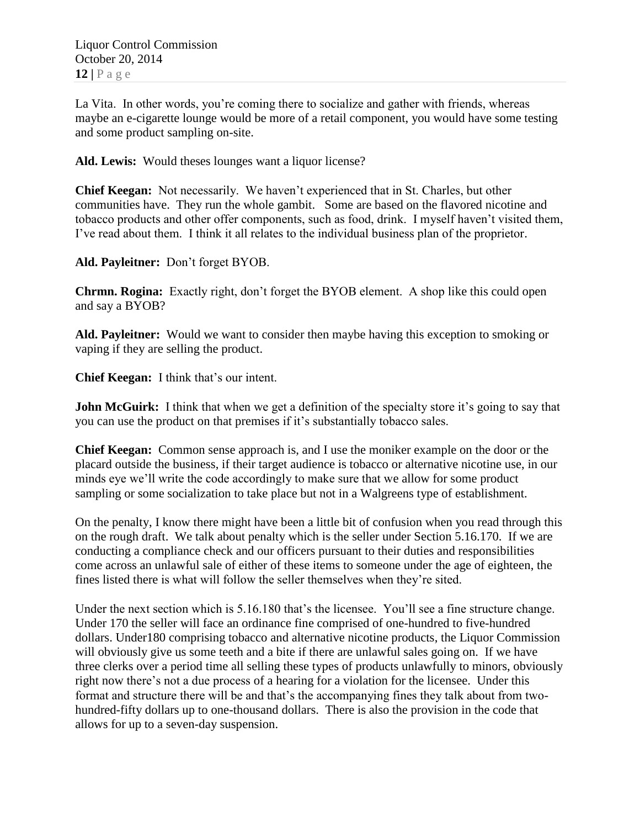La Vita. In other words, you're coming there to socialize and gather with friends, whereas maybe an e-cigarette lounge would be more of a retail component, you would have some testing and some product sampling on-site.

**Ald. Lewis:** Would theses lounges want a liquor license?

**Chief Keegan:** Not necessarily. We haven't experienced that in St. Charles, but other communities have. They run the whole gambit. Some are based on the flavored nicotine and tobacco products and other offer components, such as food, drink. I myself haven't visited them, I've read about them. I think it all relates to the individual business plan of the proprietor.

**Ald. Payleitner:** Don't forget BYOB.

**Chrmn. Rogina:** Exactly right, don't forget the BYOB element. A shop like this could open and say a BYOB?

**Ald. Payleitner:** Would we want to consider then maybe having this exception to smoking or vaping if they are selling the product.

**Chief Keegan:** I think that's our intent.

**John McGuirk:** I think that when we get a definition of the specialty store it's going to say that you can use the product on that premises if it's substantially tobacco sales.

**Chief Keegan:** Common sense approach is, and I use the moniker example on the door or the placard outside the business, if their target audience is tobacco or alternative nicotine use, in our minds eye we'll write the code accordingly to make sure that we allow for some product sampling or some socialization to take place but not in a Walgreens type of establishment.

On the penalty, I know there might have been a little bit of confusion when you read through this on the rough draft. We talk about penalty which is the seller under Section 5.16.170. If we are conducting a compliance check and our officers pursuant to their duties and responsibilities come across an unlawful sale of either of these items to someone under the age of eighteen, the fines listed there is what will follow the seller themselves when they're sited.

Under the next section which is 5.16.180 that's the licensee. You'll see a fine structure change. Under 170 the seller will face an ordinance fine comprised of one-hundred to five-hundred dollars. Under180 comprising tobacco and alternative nicotine products, the Liquor Commission will obviously give us some teeth and a bite if there are unlawful sales going on. If we have three clerks over a period time all selling these types of products unlawfully to minors, obviously right now there's not a due process of a hearing for a violation for the licensee. Under this format and structure there will be and that's the accompanying fines they talk about from twohundred-fifty dollars up to one-thousand dollars. There is also the provision in the code that allows for up to a seven-day suspension.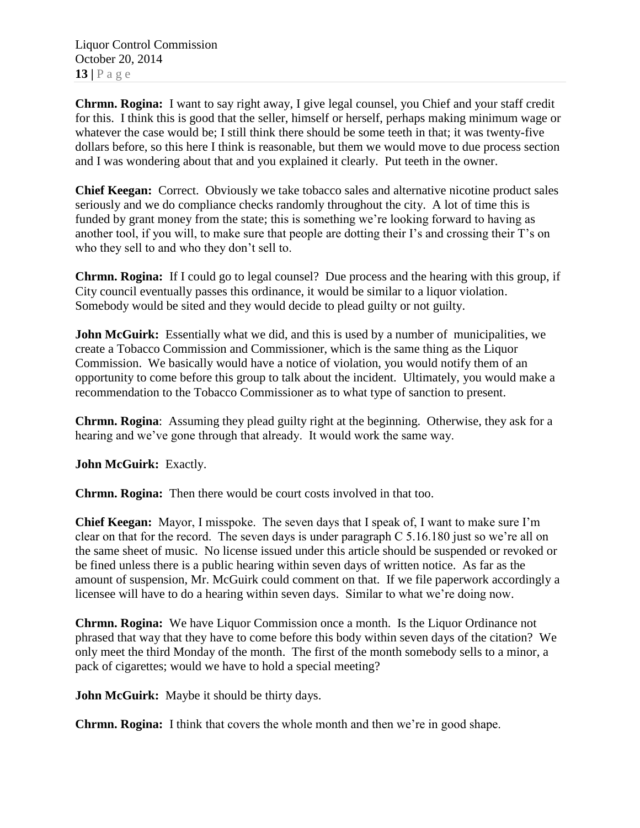Liquor Control Commission October 20, 2014 **13 |** P a g e

**Chrmn. Rogina:** I want to say right away, I give legal counsel, you Chief and your staff credit for this. I think this is good that the seller, himself or herself, perhaps making minimum wage or whatever the case would be; I still think there should be some teeth in that; it was twenty-five dollars before, so this here I think is reasonable, but them we would move to due process section and I was wondering about that and you explained it clearly. Put teeth in the owner.

**Chief Keegan:** Correct. Obviously we take tobacco sales and alternative nicotine product sales seriously and we do compliance checks randomly throughout the city. A lot of time this is funded by grant money from the state; this is something we're looking forward to having as another tool, if you will, to make sure that people are dotting their I's and crossing their T's on who they sell to and who they don't sell to.

**Chrmn. Rogina:** If I could go to legal counsel? Due process and the hearing with this group, if City council eventually passes this ordinance, it would be similar to a liquor violation. Somebody would be sited and they would decide to plead guilty or not guilty.

**John McGuirk:** Essentially what we did, and this is used by a number of municipalities, we create a Tobacco Commission and Commissioner, which is the same thing as the Liquor Commission. We basically would have a notice of violation, you would notify them of an opportunity to come before this group to talk about the incident. Ultimately, you would make a recommendation to the Tobacco Commissioner as to what type of sanction to present.

**Chrmn. Rogina**: Assuming they plead guilty right at the beginning. Otherwise, they ask for a hearing and we've gone through that already. It would work the same way.

**John McGuirk:** Exactly.

**Chrmn. Rogina:** Then there would be court costs involved in that too.

**Chief Keegan:** Mayor, I misspoke. The seven days that I speak of, I want to make sure I'm clear on that for the record. The seven days is under paragraph C 5.16.180 just so we're all on the same sheet of music. No license issued under this article should be suspended or revoked or be fined unless there is a public hearing within seven days of written notice. As far as the amount of suspension, Mr. McGuirk could comment on that. If we file paperwork accordingly a licensee will have to do a hearing within seven days. Similar to what we're doing now.

**Chrmn. Rogina:** We have Liquor Commission once a month. Is the Liquor Ordinance not phrased that way that they have to come before this body within seven days of the citation? We only meet the third Monday of the month. The first of the month somebody sells to a minor, a pack of cigarettes; would we have to hold a special meeting?

**John McGuirk:** Maybe it should be thirty days.

**Chrmn. Rogina:** I think that covers the whole month and then we're in good shape.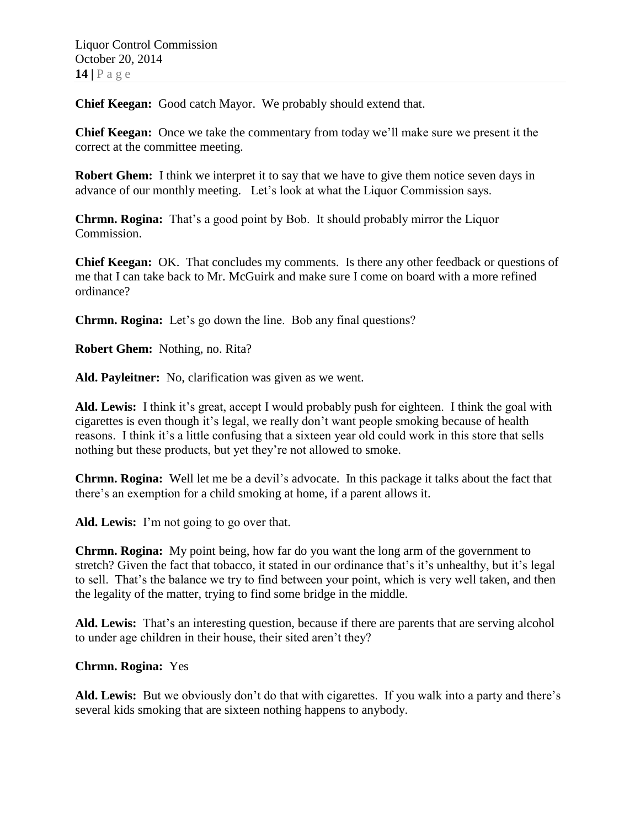**Chief Keegan:** Good catch Mayor. We probably should extend that.

**Chief Keegan:** Once we take the commentary from today we'll make sure we present it the correct at the committee meeting.

**Robert Ghem:** I think we interpret it to say that we have to give them notice seven days in advance of our monthly meeting. Let's look at what the Liquor Commission says.

**Chrmn. Rogina:** That's a good point by Bob. It should probably mirror the Liquor Commission.

**Chief Keegan:** OK. That concludes my comments. Is there any other feedback or questions of me that I can take back to Mr. McGuirk and make sure I come on board with a more refined ordinance?

**Chrmn. Rogina:** Let's go down the line. Bob any final questions?

**Robert Ghem:** Nothing, no. Rita?

**Ald. Payleitner:** No, clarification was given as we went.

**Ald. Lewis:** I think it's great, accept I would probably push for eighteen. I think the goal with cigarettes is even though it's legal, we really don't want people smoking because of health reasons. I think it's a little confusing that a sixteen year old could work in this store that sells nothing but these products, but yet they're not allowed to smoke.

**Chrmn. Rogina:** Well let me be a devil's advocate. In this package it talks about the fact that there's an exemption for a child smoking at home, if a parent allows it.

**Ald. Lewis:** I'm not going to go over that.

**Chrmn. Rogina:** My point being, how far do you want the long arm of the government to stretch? Given the fact that tobacco, it stated in our ordinance that's it's unhealthy, but it's legal to sell. That's the balance we try to find between your point, which is very well taken, and then the legality of the matter, trying to find some bridge in the middle.

**Ald. Lewis:** That's an interesting question, because if there are parents that are serving alcohol to under age children in their house, their sited aren't they?

#### **Chrmn. Rogina:** Yes

**Ald. Lewis:** But we obviously don't do that with cigarettes. If you walk into a party and there's several kids smoking that are sixteen nothing happens to anybody.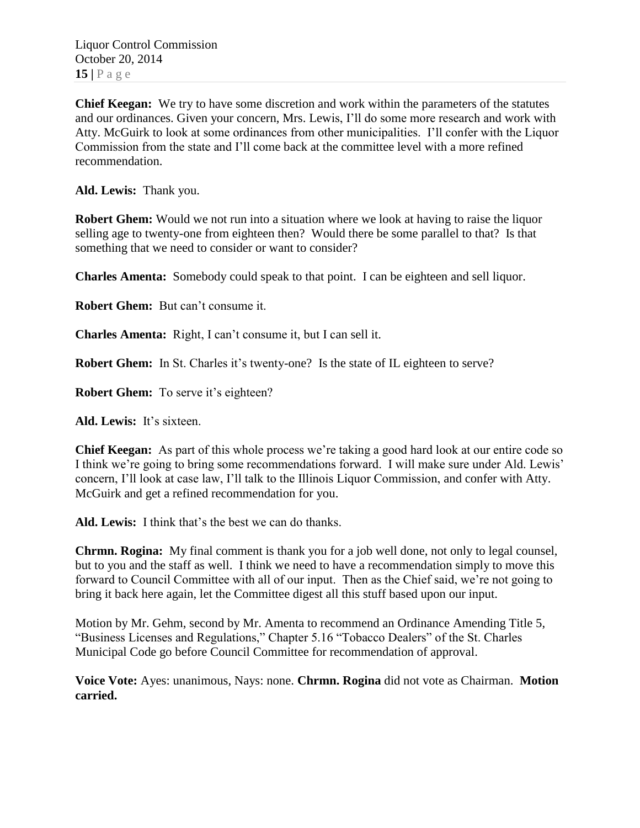Liquor Control Commission October 20, 2014 **15 |** P a g e

**Chief Keegan:** We try to have some discretion and work within the parameters of the statutes and our ordinances. Given your concern, Mrs. Lewis, I'll do some more research and work with Atty. McGuirk to look at some ordinances from other municipalities. I'll confer with the Liquor Commission from the state and I'll come back at the committee level with a more refined recommendation.

**Ald. Lewis:** Thank you.

**Robert Ghem:** Would we not run into a situation where we look at having to raise the liquor selling age to twenty-one from eighteen then? Would there be some parallel to that? Is that something that we need to consider or want to consider?

**Charles Amenta:** Somebody could speak to that point. I can be eighteen and sell liquor.

**Robert Ghem:** But can't consume it.

**Charles Amenta:** Right, I can't consume it, but I can sell it.

**Robert Ghem:** In St. Charles it's twenty-one? Is the state of IL eighteen to serve?

**Robert Ghem:** To serve it's eighteen?

**Ald. Lewis:** It's sixteen.

**Chief Keegan:** As part of this whole process we're taking a good hard look at our entire code so I think we're going to bring some recommendations forward. I will make sure under Ald. Lewis' concern, I'll look at case law, I'll talk to the Illinois Liquor Commission, and confer with Atty. McGuirk and get a refined recommendation for you.

**Ald. Lewis:** I think that's the best we can do thanks.

**Chrmn. Rogina:** My final comment is thank you for a job well done, not only to legal counsel, but to you and the staff as well. I think we need to have a recommendation simply to move this forward to Council Committee with all of our input. Then as the Chief said, we're not going to bring it back here again, let the Committee digest all this stuff based upon our input.

Motion by Mr. Gehm, second by Mr. Amenta to recommend an Ordinance Amending Title 5, "Business Licenses and Regulations," Chapter 5.16 "Tobacco Dealers" of the St. Charles Municipal Code go before Council Committee for recommendation of approval.

**Voice Vote:** Ayes: unanimous, Nays: none. **Chrmn. Rogina** did not vote as Chairman. **Motion carried.**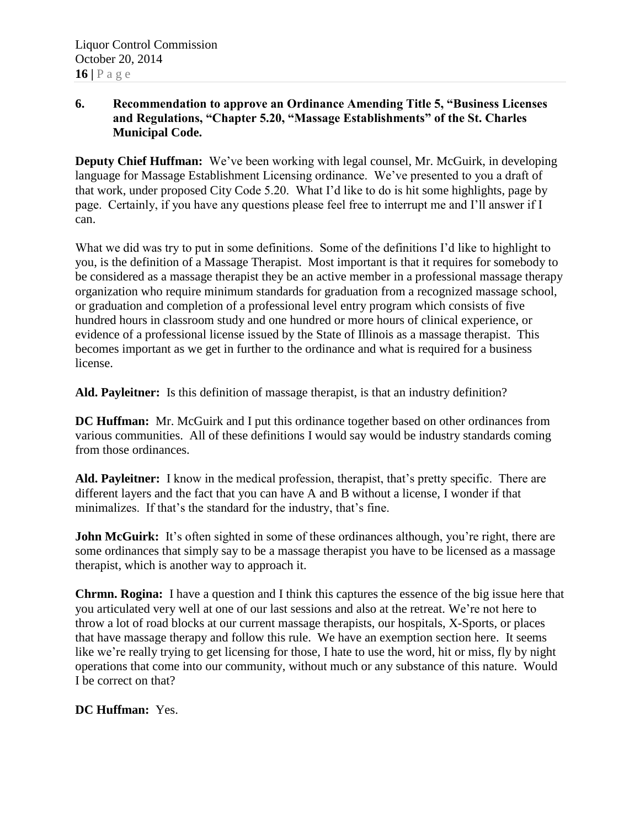## **6. Recommendation to approve an Ordinance Amending Title 5, "Business Licenses and Regulations, "Chapter 5.20, "Massage Establishments" of the St. Charles Municipal Code.**

**Deputy Chief Huffman:** We've been working with legal counsel, Mr. McGuirk, in developing language for Massage Establishment Licensing ordinance. We've presented to you a draft of that work, under proposed City Code 5.20. What I'd like to do is hit some highlights, page by page. Certainly, if you have any questions please feel free to interrupt me and I'll answer if I can.

What we did was try to put in some definitions. Some of the definitions I'd like to highlight to you, is the definition of a Massage Therapist. Most important is that it requires for somebody to be considered as a massage therapist they be an active member in a professional massage therapy organization who require minimum standards for graduation from a recognized massage school, or graduation and completion of a professional level entry program which consists of five hundred hours in classroom study and one hundred or more hours of clinical experience, or evidence of a professional license issued by the State of Illinois as a massage therapist. This becomes important as we get in further to the ordinance and what is required for a business license.

**Ald. Payleitner:** Is this definition of massage therapist, is that an industry definition?

**DC Huffman:** Mr. McGuirk and I put this ordinance together based on other ordinances from various communities. All of these definitions I would say would be industry standards coming from those ordinances.

**Ald. Payleitner:** I know in the medical profession, therapist, that's pretty specific. There are different layers and the fact that you can have A and B without a license, I wonder if that minimalizes. If that's the standard for the industry, that's fine.

**John McGuirk:** It's often sighted in some of these ordinances although, you're right, there are some ordinances that simply say to be a massage therapist you have to be licensed as a massage therapist, which is another way to approach it.

**Chrmn. Rogina:** I have a question and I think this captures the essence of the big issue here that you articulated very well at one of our last sessions and also at the retreat. We're not here to throw a lot of road blocks at our current massage therapists, our hospitals, X-Sports, or places that have massage therapy and follow this rule. We have an exemption section here. It seems like we're really trying to get licensing for those, I hate to use the word, hit or miss, fly by night operations that come into our community, without much or any substance of this nature. Would I be correct on that?

**DC Huffman:** Yes.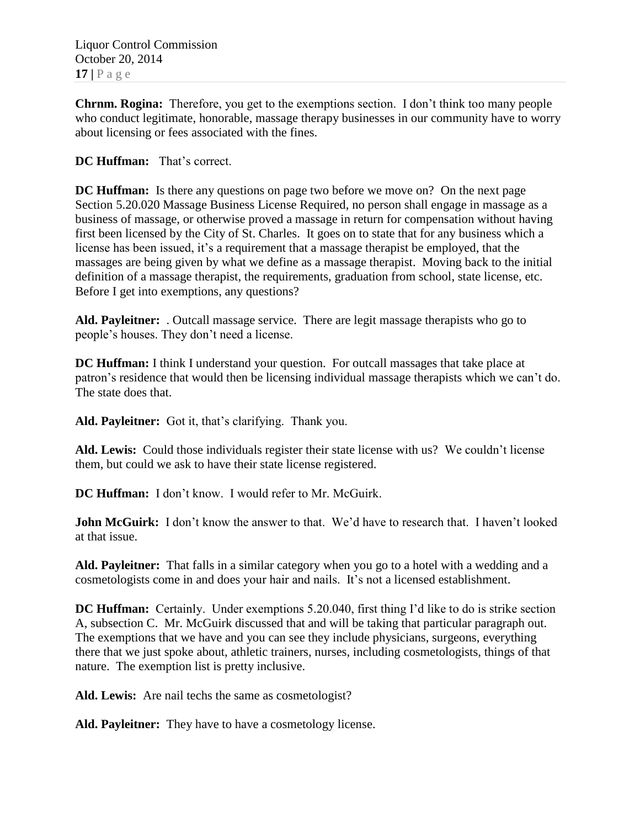**Chrnm. Rogina:** Therefore, you get to the exemptions section. I don't think too many people who conduct legitimate, honorable, massage therapy businesses in our community have to worry about licensing or fees associated with the fines.

# **DC Huffman:** That's correct.

**DC Huffman:** Is there any questions on page two before we move on? On the next page Section 5.20.020 Massage Business License Required, no person shall engage in massage as a business of massage, or otherwise proved a massage in return for compensation without having first been licensed by the City of St. Charles. It goes on to state that for any business which a license has been issued, it's a requirement that a massage therapist be employed, that the massages are being given by what we define as a massage therapist. Moving back to the initial definition of a massage therapist, the requirements, graduation from school, state license, etc. Before I get into exemptions, any questions?

**Ald. Payleitner:** . Outcall massage service. There are legit massage therapists who go to people's houses. They don't need a license.

**DC Huffman:** I think I understand your question. For outcall massages that take place at patron's residence that would then be licensing individual massage therapists which we can't do. The state does that.

**Ald. Payleitner:** Got it, that's clarifying. Thank you.

**Ald. Lewis:** Could those individuals register their state license with us? We couldn't license them, but could we ask to have their state license registered.

**DC Huffman:** I don't know. I would refer to Mr. McGuirk.

**John McGuirk:** I don't know the answer to that. We'd have to research that. I haven't looked at that issue.

**Ald. Payleitner:** That falls in a similar category when you go to a hotel with a wedding and a cosmetologists come in and does your hair and nails. It's not a licensed establishment.

**DC Huffman:** Certainly. Under exemptions 5.20.040, first thing I'd like to do is strike section A, subsection C. Mr. McGuirk discussed that and will be taking that particular paragraph out. The exemptions that we have and you can see they include physicians, surgeons, everything there that we just spoke about, athletic trainers, nurses, including cosmetologists, things of that nature. The exemption list is pretty inclusive.

**Ald. Lewis:** Are nail techs the same as cosmetologist?

**Ald. Payleitner:** They have to have a cosmetology license.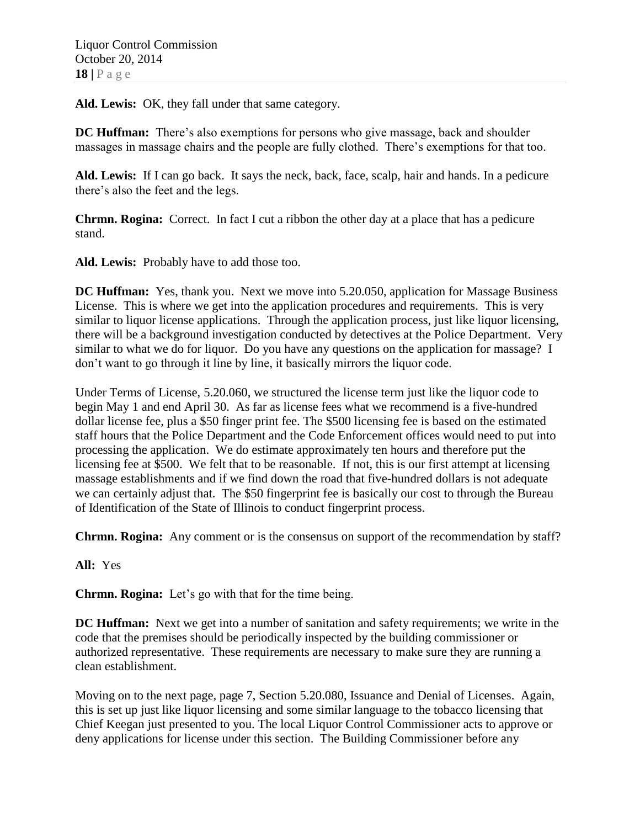**Ald. Lewis:** OK, they fall under that same category.

**DC Huffman:** There's also exemptions for persons who give massage, back and shoulder massages in massage chairs and the people are fully clothed. There's exemptions for that too.

**Ald. Lewis:** If I can go back. It says the neck, back, face, scalp, hair and hands. In a pedicure there's also the feet and the legs.

**Chrmn. Rogina:** Correct. In fact I cut a ribbon the other day at a place that has a pedicure stand.

**Ald. Lewis:** Probably have to add those too.

**DC Huffman:** Yes, thank you. Next we move into 5.20.050, application for Massage Business License. This is where we get into the application procedures and requirements. This is very similar to liquor license applications. Through the application process, just like liquor licensing, there will be a background investigation conducted by detectives at the Police Department. Very similar to what we do for liquor. Do you have any questions on the application for massage? I don't want to go through it line by line, it basically mirrors the liquor code.

Under Terms of License, 5.20.060, we structured the license term just like the liquor code to begin May 1 and end April 30. As far as license fees what we recommend is a five-hundred dollar license fee, plus a \$50 finger print fee. The \$500 licensing fee is based on the estimated staff hours that the Police Department and the Code Enforcement offices would need to put into processing the application. We do estimate approximately ten hours and therefore put the licensing fee at \$500. We felt that to be reasonable. If not, this is our first attempt at licensing massage establishments and if we find down the road that five-hundred dollars is not adequate we can certainly adjust that. The \$50 fingerprint fee is basically our cost to through the Bureau of Identification of the State of Illinois to conduct fingerprint process.

**Chrmn. Rogina:** Any comment or is the consensus on support of the recommendation by staff?

**All:** Yes

**Chrmn. Rogina:** Let's go with that for the time being.

**DC Huffman:** Next we get into a number of sanitation and safety requirements; we write in the code that the premises should be periodically inspected by the building commissioner or authorized representative. These requirements are necessary to make sure they are running a clean establishment.

Moving on to the next page, page 7, Section 5.20.080, Issuance and Denial of Licenses. Again, this is set up just like liquor licensing and some similar language to the tobacco licensing that Chief Keegan just presented to you. The local Liquor Control Commissioner acts to approve or deny applications for license under this section. The Building Commissioner before any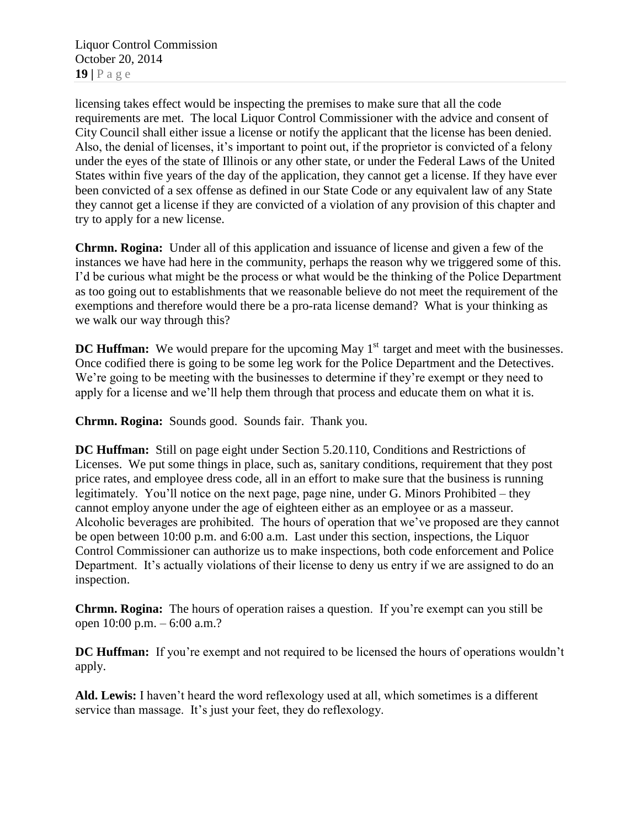Liquor Control Commission October 20, 2014 **19 |** P a g e

licensing takes effect would be inspecting the premises to make sure that all the code requirements are met. The local Liquor Control Commissioner with the advice and consent of City Council shall either issue a license or notify the applicant that the license has been denied. Also, the denial of licenses, it's important to point out, if the proprietor is convicted of a felony under the eyes of the state of Illinois or any other state, or under the Federal Laws of the United States within five years of the day of the application, they cannot get a license. If they have ever been convicted of a sex offense as defined in our State Code or any equivalent law of any State they cannot get a license if they are convicted of a violation of any provision of this chapter and try to apply for a new license.

**Chrmn. Rogina:** Under all of this application and issuance of license and given a few of the instances we have had here in the community, perhaps the reason why we triggered some of this. I'd be curious what might be the process or what would be the thinking of the Police Department as too going out to establishments that we reasonable believe do not meet the requirement of the exemptions and therefore would there be a pro-rata license demand? What is your thinking as we walk our way through this?

**DC Huffman:** We would prepare for the upcoming May 1<sup>st</sup> target and meet with the businesses. Once codified there is going to be some leg work for the Police Department and the Detectives. We're going to be meeting with the businesses to determine if they're exempt or they need to apply for a license and we'll help them through that process and educate them on what it is.

**Chrmn. Rogina:** Sounds good. Sounds fair. Thank you.

**DC Huffman:** Still on page eight under Section 5.20.110, Conditions and Restrictions of Licenses. We put some things in place, such as, sanitary conditions, requirement that they post price rates, and employee dress code, all in an effort to make sure that the business is running legitimately. You'll notice on the next page, page nine, under G. Minors Prohibited – they cannot employ anyone under the age of eighteen either as an employee or as a masseur. Alcoholic beverages are prohibited. The hours of operation that we've proposed are they cannot be open between 10:00 p.m. and 6:00 a.m. Last under this section, inspections, the Liquor Control Commissioner can authorize us to make inspections, both code enforcement and Police Department. It's actually violations of their license to deny us entry if we are assigned to do an inspection.

**Chrmn. Rogina:** The hours of operation raises a question. If you're exempt can you still be open 10:00 p.m. – 6:00 a.m.?

**DC Huffman:** If you're exempt and not required to be licensed the hours of operations wouldn't apply.

**Ald. Lewis:** I haven't heard the word reflexology used at all, which sometimes is a different service than massage. It's just your feet, they do reflexology.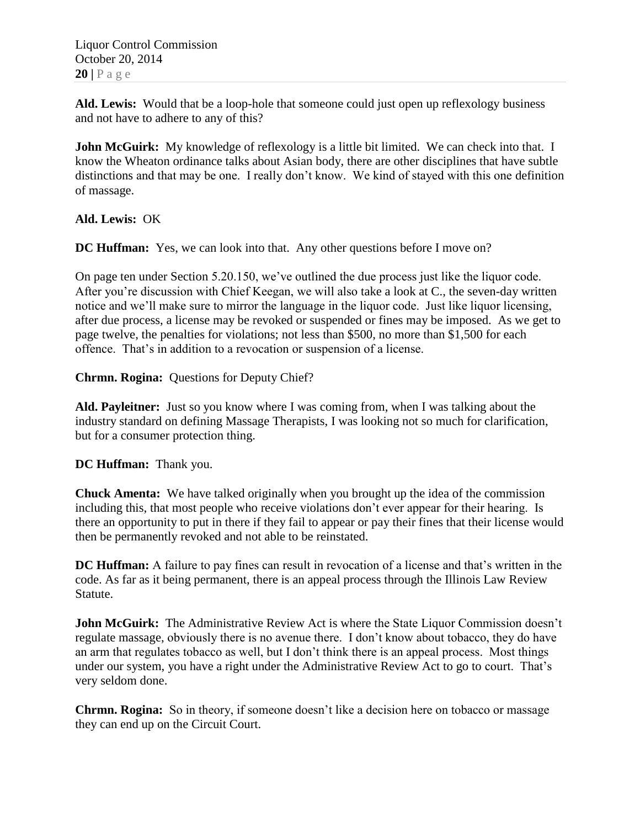Liquor Control Commission October 20, 2014  $20$  |  $P$  a g e

**Ald. Lewis:** Would that be a loop-hole that someone could just open up reflexology business and not have to adhere to any of this?

**John McGuirk:** My knowledge of reflexology is a little bit limited. We can check into that. I know the Wheaton ordinance talks about Asian body, there are other disciplines that have subtle distinctions and that may be one. I really don't know. We kind of stayed with this one definition of massage.

**Ald. Lewis:** OK

**DC Huffman:** Yes, we can look into that. Any other questions before I move on?

On page ten under Section 5.20.150, we've outlined the due process just like the liquor code. After you're discussion with Chief Keegan, we will also take a look at C., the seven-day written notice and we'll make sure to mirror the language in the liquor code. Just like liquor licensing, after due process, a license may be revoked or suspended or fines may be imposed. As we get to page twelve, the penalties for violations; not less than \$500, no more than \$1,500 for each offence. That's in addition to a revocation or suspension of a license.

**Chrmn. Rogina:** Questions for Deputy Chief?

**Ald. Payleitner:** Just so you know where I was coming from, when I was talking about the industry standard on defining Massage Therapists, I was looking not so much for clarification, but for a consumer protection thing.

**DC Huffman:** Thank you.

**Chuck Amenta:** We have talked originally when you brought up the idea of the commission including this, that most people who receive violations don't ever appear for their hearing. Is there an opportunity to put in there if they fail to appear or pay their fines that their license would then be permanently revoked and not able to be reinstated.

**DC Huffman:** A failure to pay fines can result in revocation of a license and that's written in the code. As far as it being permanent, there is an appeal process through the Illinois Law Review Statute.

**John McGuirk:** The Administrative Review Act is where the State Liquor Commission doesn't regulate massage, obviously there is no avenue there. I don't know about tobacco, they do have an arm that regulates tobacco as well, but I don't think there is an appeal process. Most things under our system, you have a right under the Administrative Review Act to go to court. That's very seldom done.

**Chrmn. Rogina:** So in theory, if someone doesn't like a decision here on tobacco or massage they can end up on the Circuit Court.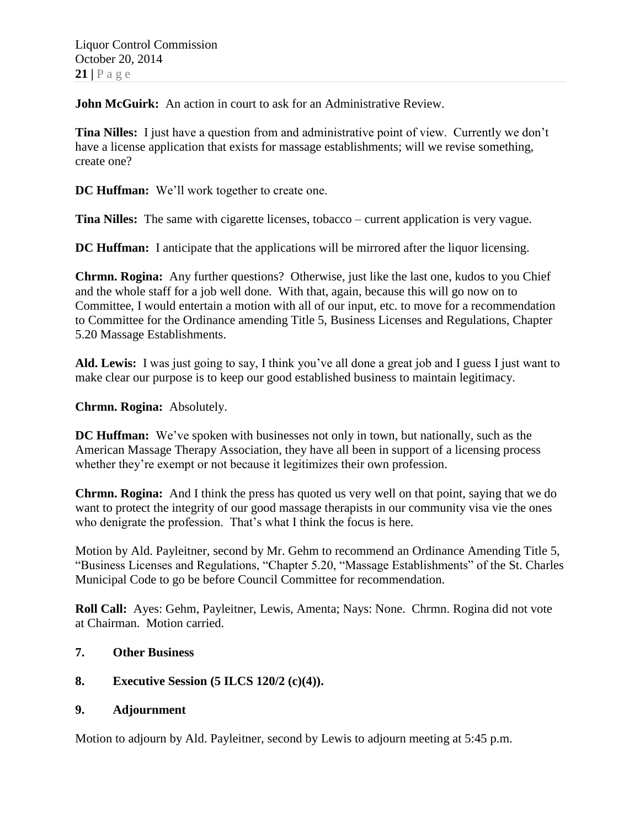**John McGuirk:** An action in court to ask for an Administrative Review.

**Tina Nilles:** I just have a question from and administrative point of view. Currently we don't have a license application that exists for massage establishments; will we revise something, create one?

**DC Huffman:** We'll work together to create one.

**Tina Nilles:** The same with cigarette licenses, tobacco – current application is very vague.

**DC Huffman:** I anticipate that the applications will be mirrored after the liquor licensing.

**Chrmn. Rogina:** Any further questions? Otherwise, just like the last one, kudos to you Chief and the whole staff for a job well done. With that, again, because this will go now on to Committee, I would entertain a motion with all of our input, etc. to move for a recommendation to Committee for the Ordinance amending Title 5, Business Licenses and Regulations, Chapter 5.20 Massage Establishments.

**Ald. Lewis:** I was just going to say, I think you've all done a great job and I guess I just want to make clear our purpose is to keep our good established business to maintain legitimacy.

**Chrmn. Rogina:** Absolutely.

**DC Huffman:** We've spoken with businesses not only in town, but nationally, such as the American Massage Therapy Association, they have all been in support of a licensing process whether they're exempt or not because it legitimizes their own profession.

**Chrmn. Rogina:** And I think the press has quoted us very well on that point, saying that we do want to protect the integrity of our good massage therapists in our community visa vie the ones who denigrate the profession. That's what I think the focus is here.

Motion by Ald. Payleitner, second by Mr. Gehm to recommend an Ordinance Amending Title 5, "Business Licenses and Regulations, "Chapter 5.20, "Massage Establishments" of the St. Charles Municipal Code to go be before Council Committee for recommendation.

**Roll Call:** Ayes: Gehm, Payleitner, Lewis, Amenta; Nays: None. Chrmn. Rogina did not vote at Chairman. Motion carried.

#### **7. Other Business**

# **8. Executive Session (5 ILCS 120/2 (c)(4)).**

#### **9. Adjournment**

Motion to adjourn by Ald. Payleitner, second by Lewis to adjourn meeting at 5:45 p.m.